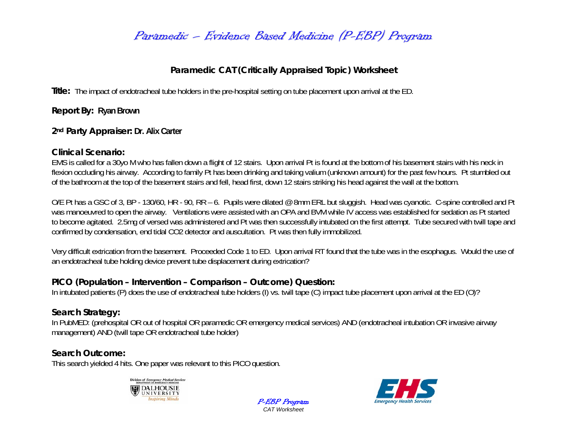# Paramedic – Evidence Based Medicine (P-EBP) Program

## **Paramedic CAT (Critically Appraised Topic) Worksheet**

**Title:** The impact of endotracheal tube holders in the pre-hospital setting on tube placement upon arrival at the ED.

**Report By: Ryan Brown**

### **2nd Party Appraiser: Dr. Alix Carter**

### **Clinical Scenario:**

EMS is called for a 30yo M who has fallen down a flight of 12 stairs. Upon arrival Pt is found at the bottom of his basement stairs with his neck in flexion occluding his airway. According to family Pt has been drinking and taking valium (unknown amount) for the past few hours. Pt stumbled out of the bathroom at the top of the basement stairs and fell, head first, down 12 stairs striking his head against the wall at the bottom.

O/E Pt has a GSC of 3, BP - 130/60, HR - 90, RR – 6. Pupils were dilated @ 8mm ERL but sluggish. Head was cyanotic. C-spine controlled and Pt was manoeuvred to open the airway. Ventilations were assisted with an OPA and BVM while IV access was established for sedation as Pt started to become agitated. 2.5mg of versed was administered and Pt was then successfully intubated on the first attempt. Tube secured with twill tape and confirmed by condensation, end tidal CO2 detector and auscultation. Pt was then fully immobilized.

Very difficult extrication from the basement. Proceeded Code 1 to ED. Upon arrival RT found that the tube was in the esophagus. Would the use of an endotracheal tube holding device prevent tube displacement during extrication?

## **PICO (Population – Intervention – Comparison – Outcome) Question:**

In intubated patients (P) does the use of endotracheal tube holders (I) vs. twill tape (C) impact tube placement upon arrival at the ED (O)?

## **Search Strategy:**

In PubMED: (prehospital OR out of hospital OR paramedic OR emergency medical services) AND (endotracheal intubation OR invasive airway management) AND (twill tape OR endotracheal tube holder)

> P-EBP Program *CAT Worksheet*

## **Search Outcome:**

This search yielded 4 hits. One paper was relevant to this PICO question.